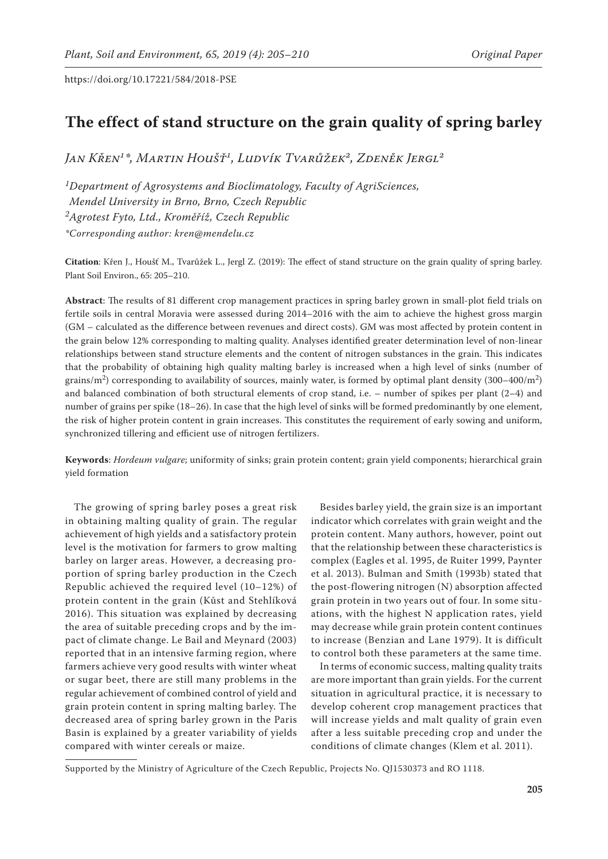# **The effect of stand structure on the grain quality of spring barley**

*Jan Křen1\*, Martin Houšť1, Ludvík Tvarůžek2, Zdeněk Jergl2*

*1Department of Agrosystems and Bioclimatology, Faculty of AgriSciences, Mendel University in Brno, Brno, Czech Republic 2Agrotest Fyto, Ltd., Kroměříž, Czech Republic \*Corresponding author: kren@mendelu.cz*

**Citation**: Křen J., Houšť M., Tvarůžek L., Jergl Z. (2019): The effect of stand structure on the grain quality of spring barley. Plant Soil Environ., 65: 205–210.

**Abstract**: The results of 81 different crop management practices in spring barley grown in small-plot field trials on fertile soils in central Moravia were assessed during 2014–2016 with the aim to achieve the highest gross margin (GM – calculated as the difference between revenues and direct costs). GM was most affected by protein content in the grain below 12% corresponding to malting quality. Analyses identified greater determination level of non-linear relationships between stand structure elements and the content of nitrogen substances in the grain. This indicates that the probability of obtaining high quality malting barley is increased when a high level of sinks (number of grains/m<sup>2</sup>) corresponding to availability of sources, mainly water, is formed by optimal plant density  $(300-400/m^2)$ and balanced combination of both structural elements of crop stand, i.e. – number of spikes per plant (2–4) and number of grains per spike (18–26). In case that the high level of sinks will be formed predominantly by one element, the risk of higher protein content in grain increases. This constitutes the requirement of early sowing and uniform, synchronized tillering and efficient use of nitrogen fertilizers.

**Keywords**: *Hordeum vulgare*; uniformity of sinks; grain protein content; grain yield components; hierarchical grain yield formation

The growing of spring barley poses a great risk in obtaining malting quality of grain. The regular achievement of high yields and a satisfactory protein level is the motivation for farmers to grow malting barley on larger areas. However, a decreasing proportion of spring barley production in the Czech Republic achieved the required level (10–12%) of protein content in the grain (Kůst and Stehlíková 2016). This situation was explained by decreasing the area of suitable preceding crops and by the impact of climate change. Le Bail and Meynard (2003) reported that in an intensive farming region, where farmers achieve very good results with winter wheat or sugar beet, there are still many problems in the regular achievement of combined control of yield and grain protein content in spring malting barley. The decreased area of spring barley grown in the Paris Basin is explained by a greater variability of yields compared with winter cereals or maize.

Besides barley yield, the grain size is an important indicator which correlates with grain weight and the protein content. Many authors, however, point out that the relationship between these characteristics is complex (Eagles et al. 1995, de Ruiter 1999, Paynter et al. 2013). Bulman and Smith (1993b) stated that the post-flowering nitrogen (N) absorption affected grain protein in two years out of four. In some situations, with the highest N application rates, yield may decrease while grain protein content continues to increase (Benzian and Lane 1979). It is difficult to control both these parameters at the same time.

In terms of economic success, malting quality traits are more important than grain yields. For the current situation in agricultural practice, it is necessary to develop coherent crop management practices that will increase yields and malt quality of grain even after a less suitable preceding crop and under the conditions of climate changes (Klem et al. 2011).

Supported by the Ministry of Agriculture of the Czech Republic, Projects No. QJ1530373 and RO 1118.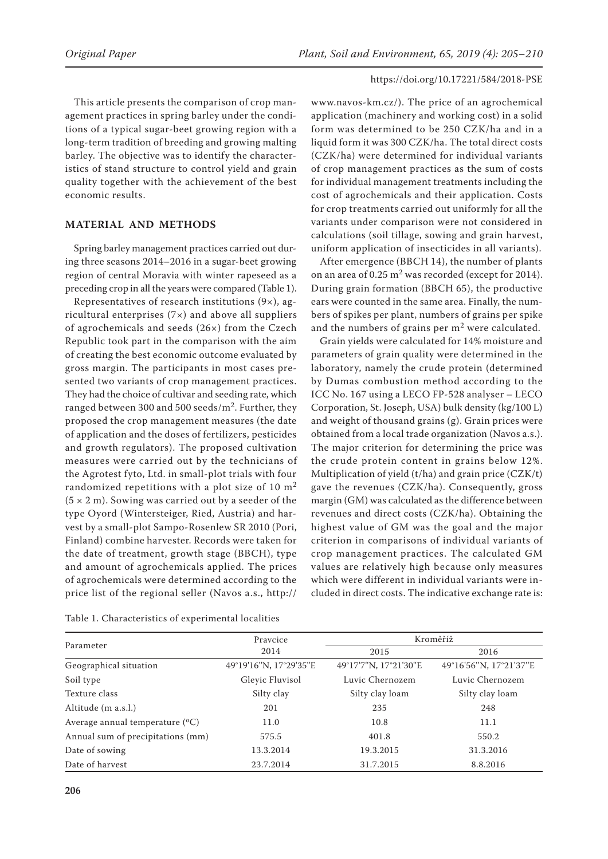This article presents the comparison of crop management practices in spring barley under the conditions of a typical sugar-beet growing region with a long-term tradition of breeding and growing malting barley. The objective was to identify the characteristics of stand structure to control yield and grain quality together with the achievement of the best economic results.

# **MATERIAL AND METHODS**

Spring barley management practices carried out during three seasons 2014–2016 in a sugar-beet growing region of central Moravia with winter rapeseed as a preceding crop in all the years were compared (Table 1).

Representatives of research institutions (9×), agricultural enterprises (7×) and above all suppliers of agrochemicals and seeds (26×) from the Czech Republic took part in the comparison with the aim of creating the best economic outcome evaluated by gross margin. The participants in most cases presented two variants of crop management practices. They had the choice of cultivar and seeding rate, which ranged between 300 and 500 seeds/m<sup>2</sup>. Further, they proposed the crop management measures (the date of application and the doses of fertilizers, pesticides and growth regulators). The proposed cultivation measures were carried out by the technicians of the Agrotest fyto, Ltd. in small-plot trials with four randomized repetitions with a plot size of 10  $m<sup>2</sup>$  $(5 \times 2 \text{ m})$ . Sowing was carried out by a seeder of the type Oyord (Wintersteiger, Ried, Austria) and harvest by a small-plot Sampo-Rosenlew SR 2010 (Pori, Finland) combine harvester. Records were taken for the date of treatment, growth stage (BBCH), type and amount of agrochemicals applied. The prices of agrochemicals were determined according to the price list of the regional seller (Navos a.s., http://

Table 1. Characteristics of experimental localities

www.navos-km.cz/). The price of an agrochemical application (machinery and working cost) in a solid form was determined to be 250 CZK/ha and in a liquid form it was 300 CZK/ha. The total direct costs (CZK/ha) were determined for individual variants of crop management practices as the sum of costs for individual management treatments including the cost of agrochemicals and their application. Costs for crop treatments carried out uniformly for all the variants under comparison were not considered in calculations (soil tillage, sowing and grain harvest, uniform application of insecticides in all variants).

After emergence (BBCH 14), the number of plants on an area of 0.25  $m<sup>2</sup>$  was recorded (except for 2014). During grain formation (BBCH 65), the productive ears were counted in the same area. Finally, the numbers of spikes per plant, numbers of grains per spike and the numbers of grains per m<sup>2</sup> were calculated.

Grain yields were calculated for 14% moisture and parameters of grain quality were determined in the laboratory, namely the crude protein (determined by Dumas combustion method according to the ICC No. 167 using a LECO FP-528 analyser – LECO Corporation, St. Joseph, USA) bulk density (kg/100 L) and weight of thousand grains (g). Grain prices were obtained from a local trade organization (Navos a.s.). The major criterion for determining the price was the crude protein content in grains below 12%. Multiplication of yield (t/ha) and grain price (CZK/t) gave the revenues (CZK/ha). Consequently, gross margin (GM) was calculated as the difference between revenues and direct costs (CZK/ha). Obtaining the highest value of GM was the goal and the major criterion in comparisons of individual variants of crop management practices. The calculated GM values are relatively high because only measures which were different in individual variants were included in direct costs. The indicative exchange rate is:

|                                            | Praycice               | Kroměříž                                                                                                                    |                        |  |
|--------------------------------------------|------------------------|-----------------------------------------------------------------------------------------------------------------------------|------------------------|--|
| Parameter                                  | 2014                   | 2015<br>2016<br>49°17'7"N, 17°21'30"E<br>Luvic Chernozem<br>Silty clay loam<br>235<br>248<br>10.8<br>11.1<br>550.2<br>401.8 |                        |  |
| Geographical situation                     | 49°19'16"N, 17°29'35"E |                                                                                                                             | 49°16'56"N, 17°21'37"E |  |
| Soil type                                  | Gleyic Fluvisol        |                                                                                                                             | Luvic Chernozem        |  |
| Texture class                              | Silty clay             |                                                                                                                             | Silty clay loam        |  |
| Altitude (m a.s.l.)                        | 201                    |                                                                                                                             |                        |  |
| Average annual temperature $({}^{\circ}C)$ | 11.0                   |                                                                                                                             |                        |  |
| Annual sum of precipitations (mm)          | 575.5                  |                                                                                                                             |                        |  |
| Date of sowing                             | 13.3.2014              | 19.3.2015                                                                                                                   | 31.3.2016              |  |
| Date of harvest                            | 23.7.2014              | 31.7.2015                                                                                                                   | 8.8.2016               |  |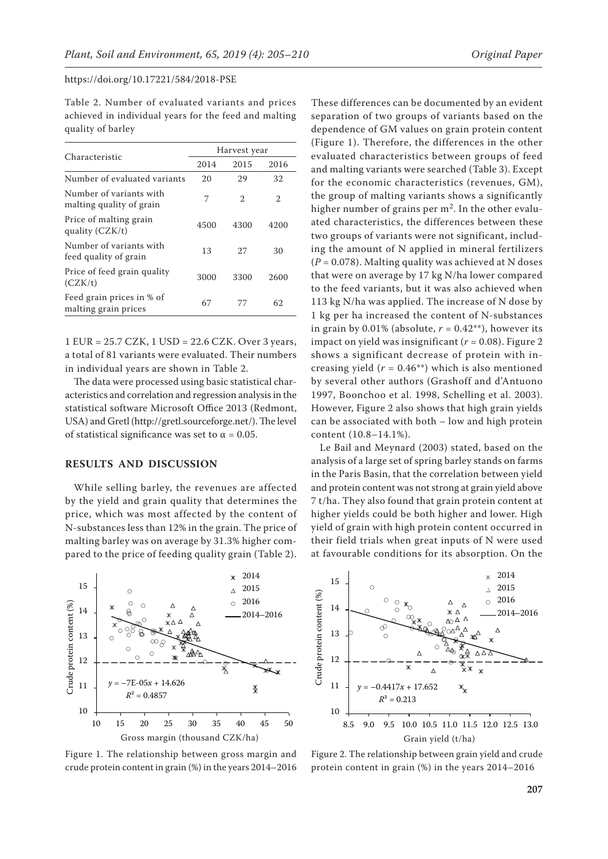Table 2. Number of evaluated variants and prices achieved in individual years for the feed and malting quality of barley

|                                                     | Harvest year |                |                |  |
|-----------------------------------------------------|--------------|----------------|----------------|--|
| Characteristic                                      | 2014         | 2015           | 2016           |  |
| Number of evaluated variants                        | 20           | 29             | 32             |  |
| Number of variants with<br>malting quality of grain | 7            | $\mathfrak{D}$ | $\mathfrak{D}$ |  |
| Price of malting grain<br>quality (CZK/t)           | 4500         | 4300           | 4200           |  |
| Number of variants with<br>feed quality of grain    | 13           | 27             | 30             |  |
| Price of feed grain quality<br>(CZK/t)              | 3000         | 3300           | 2600           |  |
| Feed grain prices in % of<br>malting grain prices   | 67           | 77             | 62             |  |

1 EUR = 25.7 CZK, 1 USD = 22.6 CZK. Over 3 years, a total of 81 variants were evaluated. Their numbers in individual years are shown in Table 2.

The data were processed using basic statistical characteristics and correlation and regression analysis in the statistical software Microsoft Office 2013 (Redmont, USA) and Gretl (http://gretl.sourceforge.net/). The level of statistical significance was set to  $\alpha = 0.05$ .

# **RESULTS AND DISCUSSION**

While selling barley, the revenues are affected by the yield and grain quality that determines the price, which was most affected by the content of N-substances less than 12% in the grain. The price of malting barley was on average by 31.3% higher compared to the price of feeding quality grain (Table 2).



Figure 1. The relationship between gross margin and crude protein content in grain (%) in the years 2014–2016

These differences can be documented by an evident separation of two groups of variants based on the dependence of GM values on grain protein content (Figure 1). Therefore, the differences in the other evaluated characteristics between groups of feed and malting variants were searched (Table 3). Except for the economic characteristics (revenues, GM), the group of malting variants shows a significantly higher number of grains per  $m<sup>2</sup>$ . In the other evaluated characteristics, the differences between these two groups of variants were not significant, including the amount of N applied in mineral fertilizers  $(P = 0.078)$ . Malting quality was achieved at N doses that were on average by 17 kg N/ha lower compared to the feed variants, but it was also achieved when 113 kg N/ha was applied. The increase of N dose by 1 kg per ha increased the content of N-substances in grain by 0.01% (absolute,  $r = 0.42**$ ), however its impact on yield was insignificant (*r* = 0.08). Figure 2 shows a significant decrease of protein with increasing yield  $(r = 0.46^{**})$  which is also mentioned by several other authors (Grashoff and d'Antuono 1997, Boonchoo et al. 1998, Schelling et al. 2003). However, Figure 2 also shows that high grain yields can be associated with both – low and high protein content (10.8–14.1%).

Le Bail and Meynard (2003) stated, based on the analysis of a large set of spring barley stands on farms in the Paris Basin, that the correlation between yield and protein content was not strong at grain yield above 7 t/ha. They also found that grain protein content at higher yields could be both higher and lower. High yield of grain with high protein content occurred in their field trials when great inputs of N were used at favourable conditions for its absorption. On the



Figure 2. The relationship between grain yield and crude protein content in grain (%) in the years 2014–2016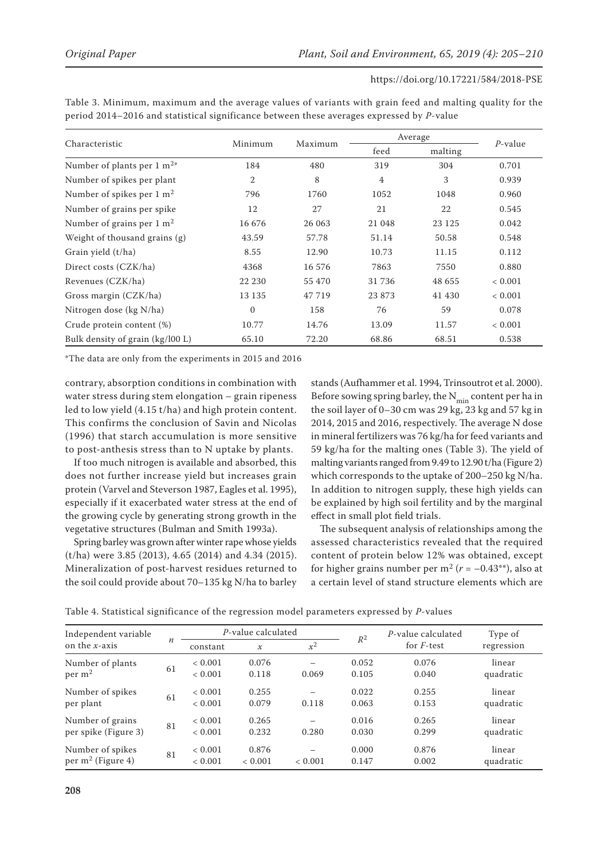| Characteristic                       | Minimum        | Maximum | Average |         |             |  |
|--------------------------------------|----------------|---------|---------|---------|-------------|--|
|                                      |                |         | feed    | malting | $P$ -value  |  |
| Number of plants per 1 $m^{2*}$      | 184            | 480     | 319     | 304     | 0.701       |  |
| Number of spikes per plant           | $\overline{2}$ | 8       | 4       | 3       | 0.939       |  |
| Number of spikes per $1 \text{ m}^2$ | 796            | 1760    | 1052    | 1048    | 0.960       |  |
| Number of grains per spike           | 12             | 27      | 21      | 22      | 0.545       |  |
| Number of grains per $1 \text{ m}^2$ | 16 676         | 26 063  | 21 048  | 23 1 25 | 0.042       |  |
| Weight of thousand grains (g)        | 43.59          | 57.78   | 51.14   | 50.58   | 0.548       |  |
| Grain yield (t/ha)                   | 8.55           | 12.90   | 10.73   | 11.15   | 0.112       |  |
| Direct costs (CZK/ha)                | 4368           | 16 576  | 7863    | 7550    | 0.880       |  |
| Revenues (CZK/ha)                    | 22 230         | 55 470  | 31 736  | 48 655  | < 0.001     |  |
| Gross margin (CZK/ha)                | 13 13 5        | 47 719  | 23873   | 41 430  | < 0.001     |  |
| Nitrogen dose (kg N/ha)              | $\Omega$       | 158     | 76      | 59      | 0.078       |  |
| Crude protein content (%)            | 10.77          | 14.76   | 13.09   | 11.57   | ${}< 0.001$ |  |
| Bulk density of grain (kg/l00 L)     | 65.10          | 72.20   | 68.86   | 68.51   | 0.538       |  |

Table 3. Minimum, maximum and the average values of variants with grain feed and malting quality for the period 2014–2016 and statistical significance between these averages expressed by *P*-value

\*The data are only from the experiments in 2015 and 2016

contrary, absorption conditions in combination with water stress during stem elongation – grain ripeness led to low yield (4.15 t/ha) and high protein content. This confirms the conclusion of Savin and Nicolas (1996) that starch accumulation is more sensitive to post-anthesis stress than to N uptake by plants.

If too much nitrogen is available and absorbed, this does not further increase yield but increases grain protein (Varvel and Steverson 1987, Eagles et al. 1995), especially if it exacerbated water stress at the end of the growing cycle by generating strong growth in the vegetative structures (Bulman and Smith 1993a).

Spring barley was grown after winter rape whose yields (t/ha) were 3.85 (2013), 4.65 (2014) and 4.34 (2015). Mineralization of post-harvest residues returned to the soil could provide about 70–135 kg N/ha to barley

stands (Aufhammer et al. 1994, Trinsoutrot et al. 2000). Before sowing spring barley, the  $N_{\text{min}}$  content per ha in the soil layer of 0–30 cm was 29 kg, 23 kg and 57 kg in 2014, 2015 and 2016, respectively. The average N dose in mineral fertilizers was 76 kg/ha for feed variants and 59 kg/ha for the malting ones (Table 3). The yield of malting variants ranged from 9.49 to 12.90 t/ha (Figure 2) which corresponds to the uptake of 200–250 kg N/ha. In addition to nitrogen supply, these high yields can be explained by high soil fertility and by the marginal effect in small plot field trials.

The subsequent analysis of relationships among the assessed characteristics revealed that the required content of protein below 12% was obtained, except for higher grains number per  $m^2$  ( $r = -0.43$ <sup>\*\*</sup>), also at a certain level of stand structure elements which are

| Independent variable<br>on the $x$ -axis |                  | P-value calculated     |                  | $R^2$   | P-value calculated | Type of            |                     |
|------------------------------------------|------------------|------------------------|------------------|---------|--------------------|--------------------|---------------------|
|                                          | $\boldsymbol{n}$ | constant               | $\mathcal X$     | $x^2$   |                    | for <i>F</i> -test | regression          |
| Number of plants<br>per m <sup>2</sup>   | 61               | < 0.001<br>< 0.001     | 0.076<br>0.118   | 0.069   | 0.052<br>0.105     | 0.076<br>0.040     | linear<br>quadratic |
| Number of spikes<br>per plant            | 61               | ${}< 0.001$<br>< 0.001 | 0.255<br>0.079   | 0.118   | 0.022<br>0.063     | 0.255<br>0.153     | linear<br>quadratic |
| Number of grains<br>per spike (Figure 3) | 81               | < 0.001<br>< 0.001     | 0.265<br>0.232   | 0.280   | 0.016<br>0.030     | 0.265<br>0.299     | linear<br>quadratic |
| Number of spikes<br>per $m^2$ (Figure 4) | 81               | ${}< 0.001$<br>< 0.001 | 0.876<br>< 0.001 | < 0.001 | 0.000<br>0.147     | 0.876<br>0.002     | linear<br>quadratic |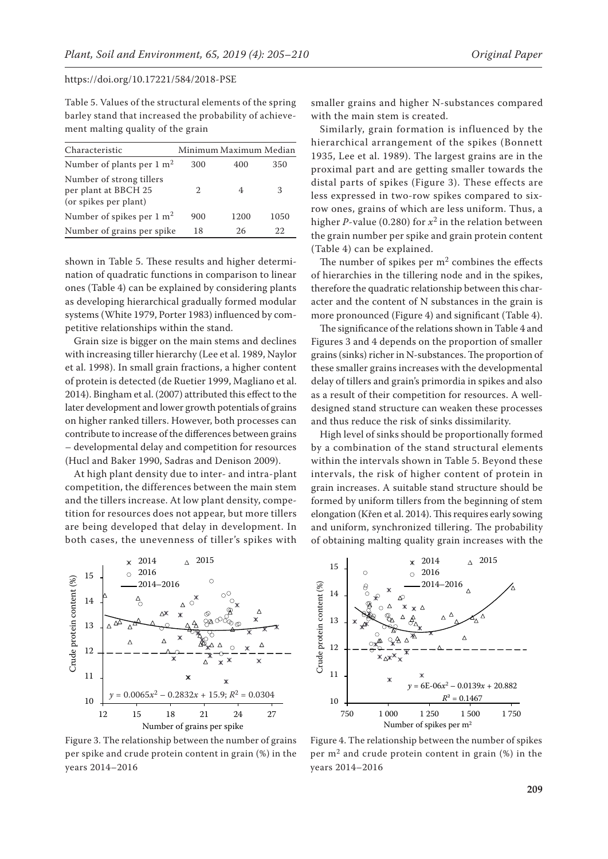Table 5. Values of the structural elements of the spring barley stand that increased the probability of achievement malting quality of the grain

| Characteristic                                                            |     | Minimum Maximum Median |      |
|---------------------------------------------------------------------------|-----|------------------------|------|
| Number of plants per $1 \text{ m}^2$                                      | 300 | 400                    | 350  |
| Number of strong tillers<br>per plant at BBCH 25<br>(or spikes per plant) |     |                        | З    |
| Number of spikes per $1 \text{ m}^2$                                      | 900 | 1200                   | 1050 |
| Number of grains per spike                                                | 18  | 26                     | 22   |

shown in Table 5. These results and higher determination of quadratic functions in comparison to linear ones (Table 4) can be explained by considering plants as developing hierarchical gradually formed modular systems (White 1979, Porter 1983) influenced by competitive relationships within the stand.

Grain size is bigger on the main stems and declines with increasing tiller hierarchy (Lee et al. 1989, Naylor et al. 1998). In small grain fractions, a higher content of protein is detected (de Ruetier 1999, Magliano et al. 2014). Bingham et al. (2007) attributed this effect to the later development and lower growth potentials of grains on higher ranked tillers. However, both processes can contribute to increase of the differences between grains – developmental delay and competition for resources (Hucl and Baker 1990, Sadras and Denison 2009).

At high plant density due to inter- and intra-plant competition, the differences between the main stem and the tillers increase. At low plant density, competition for resources does not appear, but more tillers are being developed that delay in development. In both cases, the unevenness of tiller's spikes with



Figure 3. The relationship between the number of grains per spike and crude protein content in grain (%) in the years 2014–2016

smaller grains and higher N-substances compared with the main stem is created.

Similarly, grain formation is influenced by the hierarchical arrangement of the spikes (Bonnett 1935, Lee et al. 1989). The largest grains are in the proximal part and are getting smaller towards the distal parts of spikes (Figure 3). These effects are less expressed in two-row spikes compared to sixrow ones, grains of which are less uniform. Thus, a higher *P*-value (0.280) for  $x^2$  in the relation between the grain number per spike and grain protein content (Table 4) can be explained.

The number of spikes per  $m<sup>2</sup>$  combines the effects of hierarchies in the tillering node and in the spikes, therefore the quadratic relationship between this character and the content of N substances in the grain is more pronounced (Figure 4) and significant (Table 4).

The significance of the relations shown in Table 4 and Figures 3 and 4 depends on the proportion of smaller grains (sinks) richer in N-substances. The proportion of these smaller grains increases with the developmental delay of tillers and grain's primordia in spikes and also as a result of their competition for resources. A welldesigned stand structure can weaken these processes and thus reduce the risk of sinks dissimilarity.

High level of sinks should be proportionally formed by a combination of the stand structural elements within the intervals shown in Table 5. Beyond these intervals, the risk of higher content of protein in grain increases. A suitable stand structure should be formed by uniform tillers from the beginning of stem elongation (Křen et al. 2014). This requires early sowing and uniform, synchronized tillering. The probability of obtaining malting quality grain increases with the



Figure 4. The relationship between the number of spikes per  $m<sup>2</sup>$  and crude protein content in grain (%) in the years 2014–2016